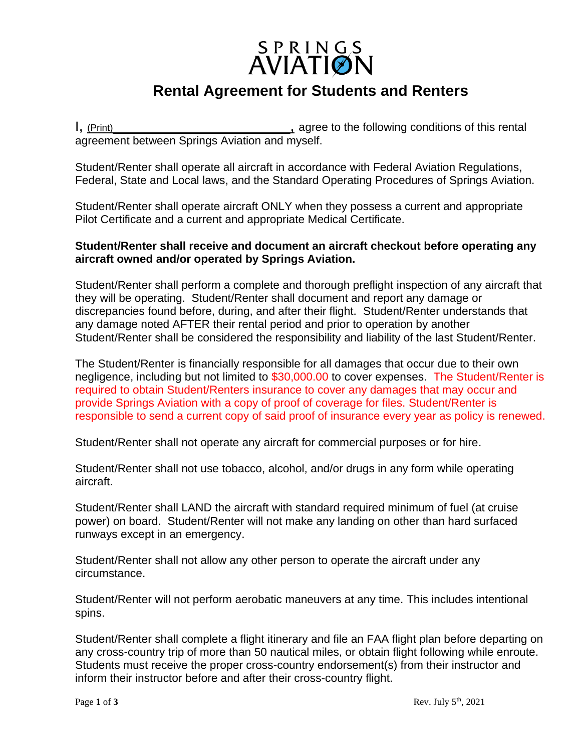# SPRINGS<br>AVIATION

## **Rental Agreement for Students and Renters**

I, (Print) I. (Print) Conditions of this rental agreement between Springs Aviation and myself.

Student/Renter shall operate all aircraft in accordance with Federal Aviation Regulations, Federal, State and Local laws, and the Standard Operating Procedures of Springs Aviation.

Student/Renter shall operate aircraft ONLY when they possess a current and appropriate Pilot Certificate and a current and appropriate Medical Certificate.

#### **Student/Renter shall receive and document an aircraft checkout before operating any aircraft owned and/or operated by Springs Aviation.**

Student/Renter shall perform a complete and thorough preflight inspection of any aircraft that they will be operating. Student/Renter shall document and report any damage or discrepancies found before, during, and after their flight. Student/Renter understands that any damage noted AFTER their rental period and prior to operation by another Student/Renter shall be considered the responsibility and liability of the last Student/Renter.

The Student/Renter is financially responsible for all damages that occur due to their own negligence, including but not limited to \$30,000.00 to cover expenses. The Student/Renter is required to obtain Student/Renters insurance to cover any damages that may occur and provide Springs Aviation with a copy of proof of coverage for files. Student/Renter is responsible to send a current copy of said proof of insurance every year as policy is renewed.

Student/Renter shall not operate any aircraft for commercial purposes or for hire.

Student/Renter shall not use tobacco, alcohol, and/or drugs in any form while operating aircraft.

Student/Renter shall LAND the aircraft with standard required minimum of fuel (at cruise power) on board. Student/Renter will not make any landing on other than hard surfaced runways except in an emergency.

Student/Renter shall not allow any other person to operate the aircraft under any circumstance.

Student/Renter will not perform aerobatic maneuvers at any time. This includes intentional spins.

Student/Renter shall complete a flight itinerary and file an FAA flight plan before departing on any cross-country trip of more than 50 nautical miles, or obtain flight following while enroute. Students must receive the proper cross-country endorsement(s) from their instructor and inform their instructor before and after their cross-country flight.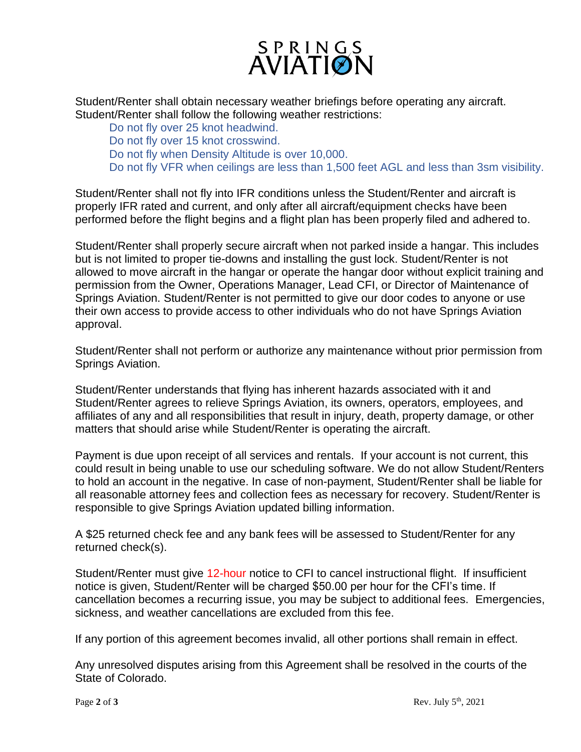

Student/Renter shall obtain necessary weather briefings before operating any aircraft. Student/Renter shall follow the following weather restrictions:

Do not fly over 25 knot headwind. Do not fly over 15 knot crosswind. Do not fly when Density Altitude is over 10,000. Do not fly VFR when ceilings are less than 1,500 feet AGL and less than 3sm visibility.

Student/Renter shall not fly into IFR conditions unless the Student/Renter and aircraft is properly IFR rated and current, and only after all aircraft/equipment checks have been performed before the flight begins and a flight plan has been properly filed and adhered to.

Student/Renter shall properly secure aircraft when not parked inside a hangar. This includes but is not limited to proper tie-downs and installing the gust lock. Student/Renter is not allowed to move aircraft in the hangar or operate the hangar door without explicit training and permission from the Owner, Operations Manager, Lead CFI, or Director of Maintenance of Springs Aviation. Student/Renter is not permitted to give our door codes to anyone or use their own access to provide access to other individuals who do not have Springs Aviation approval.

Student/Renter shall not perform or authorize any maintenance without prior permission from Springs Aviation.

Student/Renter understands that flying has inherent hazards associated with it and Student/Renter agrees to relieve Springs Aviation, its owners, operators, employees, and affiliates of any and all responsibilities that result in injury, death, property damage, or other matters that should arise while Student/Renter is operating the aircraft.

Payment is due upon receipt of all services and rentals. If your account is not current, this could result in being unable to use our scheduling software. We do not allow Student/Renters to hold an account in the negative. In case of non-payment, Student/Renter shall be liable for all reasonable attorney fees and collection fees as necessary for recovery. Student/Renter is responsible to give Springs Aviation updated billing information.

A \$25 returned check fee and any bank fees will be assessed to Student/Renter for any returned check(s).

Student/Renter must give 12-hour notice to CFI to cancel instructional flight. If insufficient notice is given, Student/Renter will be charged \$50.00 per hour for the CFI's time. If cancellation becomes a recurring issue, you may be subject to additional fees. Emergencies, sickness, and weather cancellations are excluded from this fee.

If any portion of this agreement becomes invalid, all other portions shall remain in effect.

Any unresolved disputes arising from this Agreement shall be resolved in the courts of the State of Colorado.